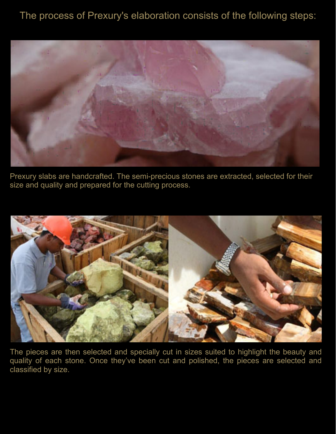## The process of Prexury's elaboration consists of the following steps:



Prexury slabs are handcrafted. The semi-precious stones are extracted, selected for their size and quality and prepared for the cutting process.



The pieces are then selected and specially cut in sizes suited to highlight the beauty and quality of each stone. Once they've been cut and polished, the pieces are selected and classified by size.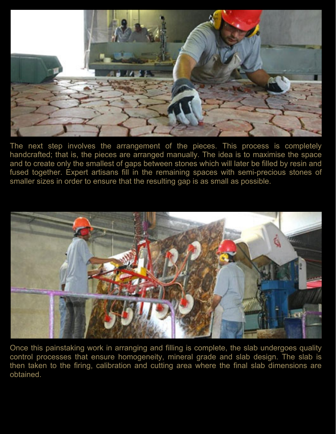

The next step involves the arrangement of the pieces. This process is completely handcrafted; that is, the pieces are arranged manually. The idea is to maximise the space and to create only the smallest of gaps between stones which will later be filled by resin and fused together. Expert artisans fill in the remaining spaces with semi-precious stones of smaller sizes in order to ensure that the resulting gap is as small as possible.



Once this painstaking work in arranging and filling is complete, the slab undergoes quality control processes that ensure homogeneity, mineral grade and slab design. The slab is then taken to the firing, calibration and cutting area where the final slab dimensions are obtained.